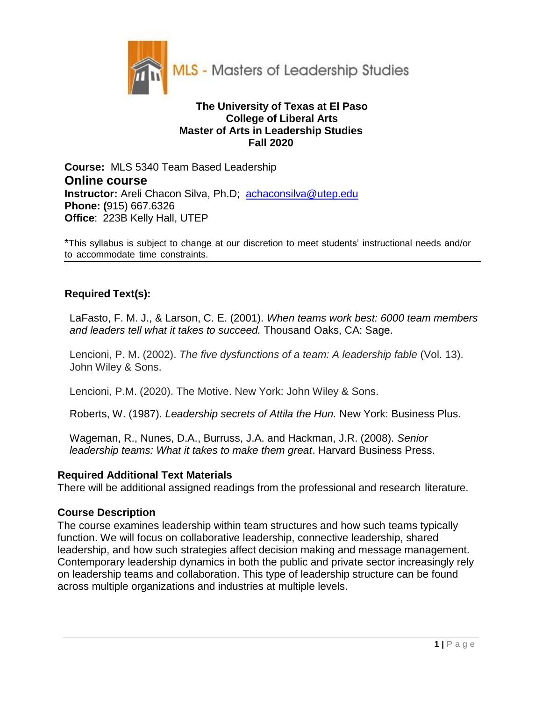

## **The University of Texas at El Paso College of Liberal Arts Master of Arts in Leadership Studies Fall 2020**

**Course:** MLS 5340 Team Based Leadership **Online course Instructor:** Areli Chacon Silva, Ph.D; [achaconsilva@utep.edu](mailto:achaconsilva@utep.edu)  **Phone: (**915) 667.6326 **Office**: 223B Kelly Hall, UTEP

\*This syllabus is subject to change at our discretion to meet students' instructional needs and/or to accommodate time constraints.

## **Required Text(s):**

LaFasto, F. M. J., & Larson, C. E. (2001). *When teams work best: 6000 team members and leaders tell what it takes to succeed.* Thousand Oaks, CA: Sage.

Lencioni, P. M. (2002). *The five dysfunctions of a team: A leadership fable* (Vol. 13). John Wiley & Sons.

Lencioni, P.M. (2020). The Motive. New York: John Wiley & Sons.

Roberts, W. (1987). *Leadership secrets of Attila the Hun.* New York: Business Plus.

Wageman, R., Nunes, D.A., Burruss, J.A. and Hackman, J.R. (2008). *Senior leadership teams: What it takes to make them great*. Harvard Business Press.

## **Required Additional Text Materials**

There will be additional assigned readings from the professional and research literature.

## **Course Description**

The course examines leadership within team structures and how such teams typically function. We will focus on collaborative leadership, connective leadership, shared leadership, and how such strategies affect decision making and message management. Contemporary leadership dynamics in both the public and private sector increasingly rely on leadership teams and collaboration. This type of leadership structure can be found across multiple organizations and industries at multiple levels.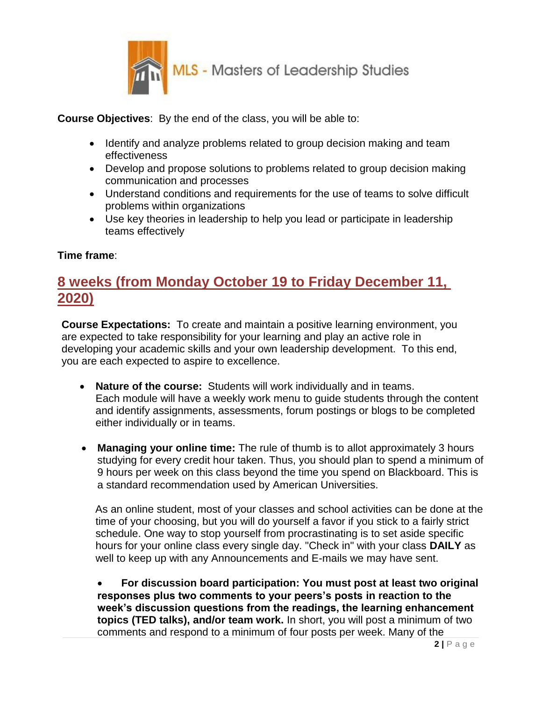

**Course Objectives**: By the end of the class, you will be able to:

- Identify and analyze problems related to group decision making and team effectiveness
- Develop and propose solutions to problems related to group decision making communication and processes
- Understand conditions and requirements for the use of teams to solve difficult problems within organizations
- Use key theories in leadership to help you lead or participate in leadership teams effectively

# **Time frame**:

# **8 weeks (from Monday October 19 to Friday December 11, 2020)**

**Course Expectations:** To create and maintain a positive learning environment, you are expected to take responsibility for your learning and play an active role in developing your academic skills and your own leadership development. To this end, you are each expected to aspire to excellence.

- **Nature of the course:** Students will work individually and in teams. Each module will have a weekly work menu to guide students through the content and identify assignments, assessments, forum postings or blogs to be completed either individually or in teams.
- **Managing your online time:** The rule of thumb is to allot approximately 3 hours studying for every credit hour taken. Thus, you should plan to spend a minimum of 9 hours per week on this class beyond the time you spend on Blackboard. This is a standard recommendation used by American Universities.

 As an online student, most of your classes and school activities can be done at the time of your choosing, but you will do yourself a favor if you stick to a fairly strict schedule. One way to stop yourself from procrastinating is to set aside specific hours for your online class every single day. "Check in" with your class **DAILY** as well to keep up with any Announcements and E-mails we may have sent.

 **For discussion board participation: You must post at least two original responses plus two comments to your peers's posts in reaction to the week's discussion questions from the readings, the learning enhancement topics (TED talks), and/or team work.** In short, you will post a minimum of two comments and respond to a minimum of four posts per week. Many of the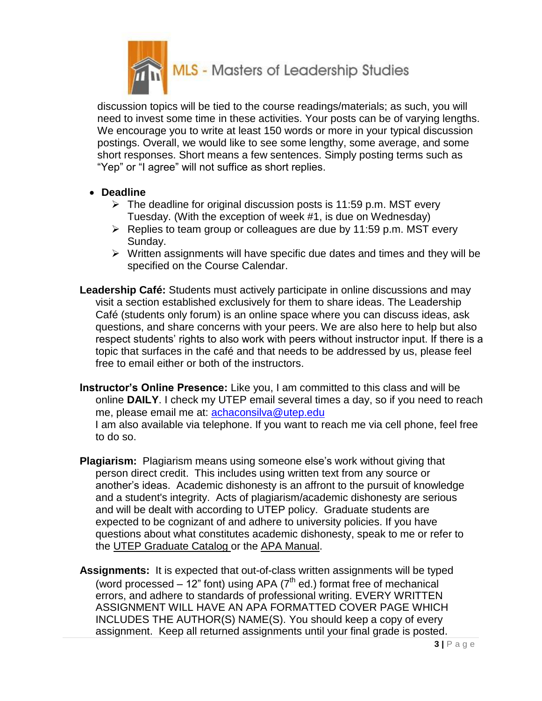

discussion topics will be tied to the course readings/materials; as such, you will need to invest some time in these activities. Your posts can be of varying lengths. We encourage you to write at least 150 words or more in your typical discussion postings. Overall, we would like to see some lengthy, some average, and some short responses. Short means a few sentences. Simply posting terms such as "Yep" or "I agree" will not suffice as short replies.

- **Deadline**
	- $\triangleright$  The deadline for original discussion posts is 11:59 p.m. MST every Tuesday. (With the exception of week #1, is due on Wednesday)
	- $\triangleright$  Replies to team group or colleagues are due by 11:59 p.m. MST every Sunday.
	- $\triangleright$  Written assignments will have specific due dates and times and they will be specified on the Course Calendar.
- **Leadership Café:** Students must actively participate in online discussions and may visit a section established exclusively for them to share ideas. The Leadership Café (students only forum) is an online space where you can discuss ideas, ask questions, and share concerns with your peers. We are also here to help but also respect students' rights to also work with peers without instructor input. If there is a topic that surfaces in the café and that needs to be addressed by us, please feel free to email either or both of the instructors.
- **Instructor's Online Presence:** Like you, I am committed to this class and will be online **DAILY**. I check my UTEP email several times a day, so if you need to reach me, please email me at: [achaconsilva@utep.edu](mailto:achaconsilva@utep.edu) I am also available via telephone. If you want to reach me via cell phone, feel free to do so.
- **Plagiarism:** Plagiarism means using someone else's work without giving that person direct credit. This includes using written text from any source or another's ideas. Academic dishonesty is an affront to the pursuit of knowledge and a student's integrity. Acts of plagiarism/academic dishonesty are serious and will be dealt with according to UTEP policy. Graduate students are expected to be cognizant of and adhere to university policies. If you have questions about what constitutes academic dishonesty, speak to me or refer to the UTEP Graduate Catalog or the APA Manual.
- **Assignments:** It is expected that out-of-class written assignments will be typed (word processed  $-12$ " font) using APA ( $7<sup>th</sup>$  ed.) format free of mechanical errors, and adhere to standards of professional writing. EVERY WRITTEN ASSIGNMENT WILL HAVE AN APA FORMATTED COVER PAGE WHICH INCLUDES THE AUTHOR(S) NAME(S). You should keep a copy of every assignment. Keep all returned assignments until your final grade is posted.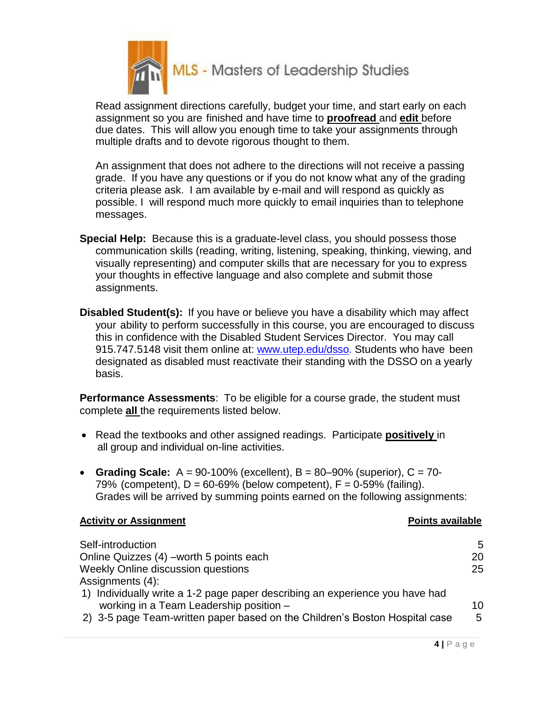

Read assignment directions carefully, budget your time, and start early on each assignment so you are finished and have time to **proofread** and **edit** before due dates. This will allow you enough time to take your assignments through multiple drafts and to devote rigorous thought to them.

An assignment that does not adhere to the directions will not receive a passing grade. If you have any questions or if you do not know what any of the grading criteria please ask. I am available by e-mail and will respond as quickly as possible. I will respond much more quickly to email inquiries than to telephone messages.

- **Special Help:** Because this is a graduate-level class, you should possess those communication skills (reading, writing, listening, speaking, thinking, viewing, and visually representing) and computer skills that are necessary for you to express your thoughts in effective language and also complete and submit those assignments.
- **Disabled Student(s):** If you have or believe you have a disability which may affect your ability to perform successfully in this course, you are encouraged to discuss this in confidence with the Disabled Student Services Director. You may call 915.747.5148 visit them online at: [www.utep.edu/dsso. S](http://www.utep.edu/dsso.)tudents who have been designated as disabled must reactivate their standing with the DSSO on a yearly basis.

**Performance Assessments**: To be eligible for a course grade, the student must complete **all** the requirements listed below.

- Read the textbooks and other assigned readings. Participate **positively** in all group and individual on-line activities.
- **Grading Scale:** A = 90-100% (excellent), B = 80–90% (superior), C = 70- 79% (competent),  $D = 60-69%$  (below competent),  $F = 0-59%$  (failing). Grades will be arrived by summing points earned on the following assignments:

## **Activity or Assignment Points available**

| Self-introduction                                                                                                       | 5  |
|-------------------------------------------------------------------------------------------------------------------------|----|
| Online Quizzes (4) – worth 5 points each                                                                                | 20 |
| Weekly Online discussion questions                                                                                      | 25 |
| Assignments (4):                                                                                                        |    |
| 1) Individually write a 1-2 page paper describing an experience you have had<br>working in a Team Leadership position - | 10 |
| 2) 3-5 page Team-written paper based on the Children's Boston Hospital case                                             | 5  |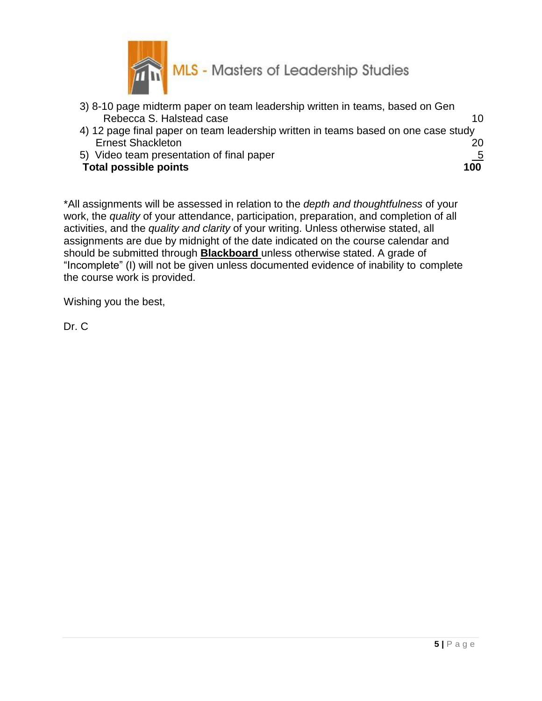

- 3) 8-10 page midterm paper on team leadership written in teams, based on Gen Rebecca S. Halstead case 10
- 4) 12 page final paper on team leadership written in teams based on one case study Ernest Shackleton 20
- 5) Video team presentation of final paper 5

## **Total possible points** 100

\*All assignments will be assessed in relation to the *depth and thoughtfulness* of your work, the *quality* of your attendance, participation, preparation, and completion of all activities, and the *quality and clarity* of your writing. Unless otherwise stated, all assignments are due by midnight of the date indicated on the course calendar and should be submitted through **Blackboard** unless otherwise stated. A grade of "Incomplete" (I) will not be given unless documented evidence of inability to complete the course work is provided.

Wishing you the best,

Dr. C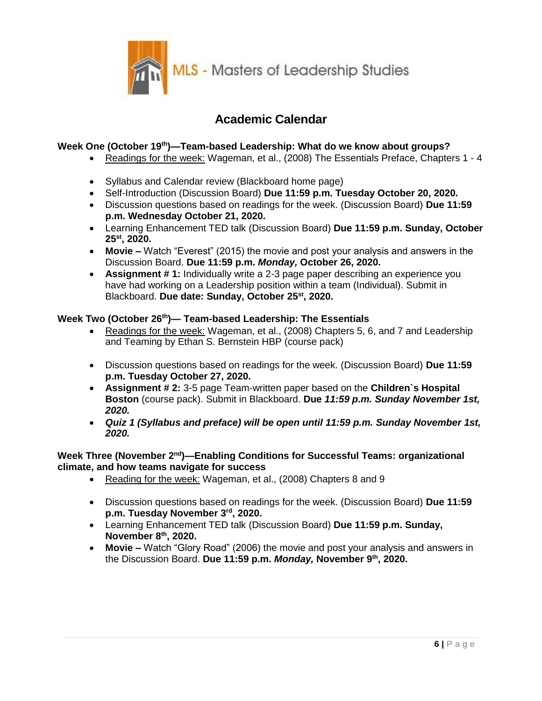

# **Academic Calendar**

## **Week One (October 19th)—Team-based Leadership: What do we know about groups?**

- Readings for the week: Wageman, et al., (2008) The Essentials Preface, Chapters 1 4
- Syllabus and Calendar review (Blackboard home page)
- Self-Introduction (Discussion Board) **Due 11:59 p.m. Tuesday October 20, 2020.**
- Discussion questions based on readings for the week. (Discussion Board) **Due 11:59 p.m. Wednesday October 21, 2020.**
- Learning Enhancement TED talk (Discussion Board) **Due 11:59 p.m. Sunday, October 25st, 2020.**
- **Movie –** Watch "Everest" (2015) the movie and post your analysis and answers in the Discussion Board. **Due 11:59 p.m.** *Monday,* **October 26, 2020.**
- **Assignment # 1:** Individually write a 2-3 page paper describing an experience you have had working on a Leadership position within a team (Individual). Submit in Blackboard. **Due date: Sunday, October 25st, 2020.**

## **Week Two (October 26th)— Team-based Leadership: The Essentials**

- Readings for the week: Wageman, et al., (2008) Chapters 5, 6, and 7 and Leadership and Teaming by Ethan S. Bernstein HBP (course pack)
- Discussion questions based on readings for the week. (Discussion Board) **Due 11:59 p.m. Tuesday October 27, 2020.**
- **Assignment # 2:** 3-5 page Team-written paper based on the **Children`s Hospital Boston** (course pack). Submit in Blackboard. **Due** *11:59 p.m. Sunday November 1st, 2020.*
- *Quiz 1 (Syllabus and preface) will be open until 11:59 p.m. Sunday November 1st, 2020.*

## Week Three (November 2<sup>nd</sup>)—Enabling Conditions for Successful Teams: organizational **climate, and how teams navigate for success**

- Reading for the week: Wageman, et al., (2008) Chapters 8 and 9
- Discussion questions based on readings for the week. (Discussion Board) **Due 11:59 p.m. Tuesday November 3rd, 2020.**
- Learning Enhancement TED talk (Discussion Board) **Due 11:59 p.m. Sunday, November 8th, 2020.**
- **Movie –** Watch "Glory Road" (2006) the movie and post your analysis and answers in the Discussion Board. **Due 11:59 p.m.** *Monday,* **November 9th, 2020.**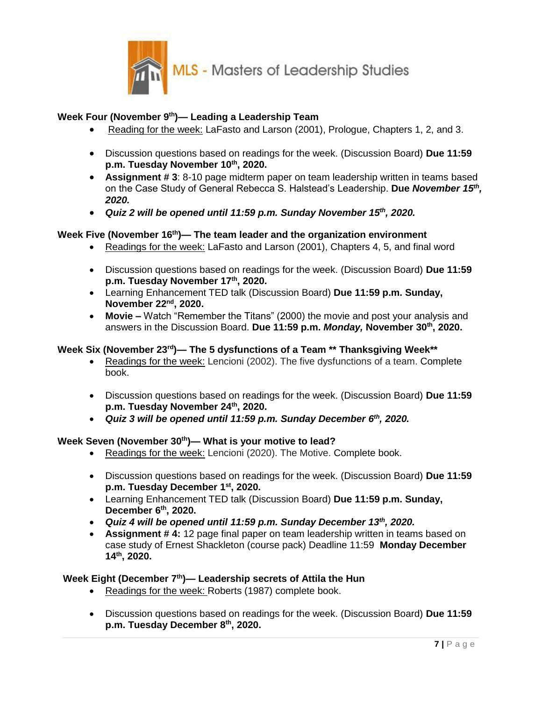

## **Week Four (November 9 th)— Leading a Leadership Team**

- Reading for the week: LaFasto and Larson (2001), Prologue, Chapters 1, 2, and 3.
- Discussion questions based on readings for the week. (Discussion Board) **Due 11:59 p.m. Tuesday November 10th, 2020.**
- **Assignment # 3**: 8-10 page midterm paper on team leadership written in teams based on the Case Study of General Rebecca S. Halstead's Leadership. **Due** *November 15th , 2020.*
- *Quiz 2 will be opened until 11:59 p.m. Sunday November 15th, 2020.*

## **Week Five (November 16th)— The team leader and the organization environment**

- Readings for the week: LaFasto and Larson (2001), Chapters 4, 5, and final word
- Discussion questions based on readings for the week. (Discussion Board) **Due 11:59 p.m. Tuesday November 17th, 2020.**
- Learning Enhancement TED talk (Discussion Board) **Due 11:59 p.m. Sunday, November 22nd, 2020.**
- **Movie –** Watch "Remember the Titans" (2000) the movie and post your analysis and answers in the Discussion Board. **Due 11:59 p.m.** *Monday,* **November 30th, 2020.**

## **Week Six (November 23rd)— The 5 dysfunctions of a Team \*\* Thanksgiving Week\*\***

- Readings for the week: Lencioni (2002). The five dysfunctions of a team. Complete book.
- Discussion questions based on readings for the week. (Discussion Board) **Due 11:59 p.m. Tuesday November 24th, 2020.**
- *Quiz 3 will be opened until 11:59 p.m. Sunday December 6th, 2020.*

## **Week Seven (November 30th)— What is your motive to lead?**

- Readings for the week: Lencioni (2020). The Motive. Complete book.
- Discussion questions based on readings for the week. (Discussion Board) **Due 11:59 p.m. Tuesday December 1st, 2020.**
- Learning Enhancement TED talk (Discussion Board) **Due 11:59 p.m. Sunday, December 6th, 2020.**
- *Quiz 4 will be opened until 11:59 p.m. Sunday December 13th, 2020.*
- **Assignment # 4:** 12 page final paper on team leadership written in teams based on case study of Ernest Shackleton (course pack) Deadline 11:59 **Monday December 14th, 2020.**

#### **Week Eight (December 7th)— Leadership secrets of Attila the Hun**

- Readings for the week: Roberts (1987) complete book.
- Discussion questions based on readings for the week. (Discussion Board) **Due 11:59 p.m. Tuesday December 8 th , 2020.**